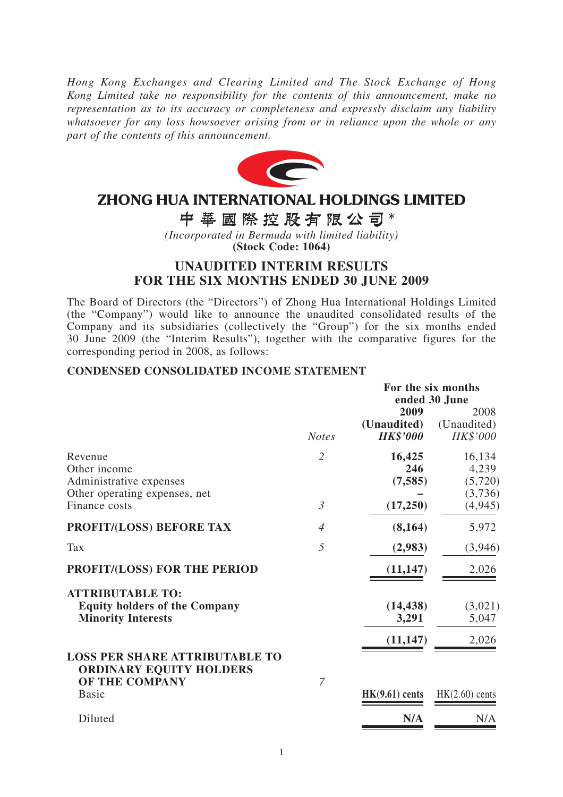*Hong Kong Exchanges and Clearing Limited and The Stock Exchange of Hong Kong Limited take no responsibility for the contents of this announcement, make no representation as to its accuracy or completeness and expressly disclaim any liability whatsoever for any loss howsoever arising from or in reliance upon the whole or any part of the contents of this announcement.*



# **ZHONG HUA INTERNATIONAL HOLDINGS LIMITED**

# 中華國際控股有限公司\*

*(Incorporated in Bermuda with limited liability)* **(Stock Code: 1064)**

# **UNAUDITED INTERIM RESULTS FOR THE SIX MONTHS ENDED 30 JUNE 2009**

The Board of Directors (the "Directors") of Zhong Hua International Holdings Limited (the "Company") would like to announce the unaudited consolidated results of the Company and its subsidiaries (collectively the "Group") for the six months ended 30 June 2009 (the "Interim Results"), together with the comparative figures for the corresponding period in 2008, as follows:

#### **CONDENSED CONSOLIDATED INCOME STATEMENT**

|                                                                                              |                |                    | For the six months<br>ended 30 June |  |  |
|----------------------------------------------------------------------------------------------|----------------|--------------------|-------------------------------------|--|--|
|                                                                                              |                | 2009               | 2008                                |  |  |
|                                                                                              |                | (Unaudited)        | (Unaudited)                         |  |  |
|                                                                                              | <b>Notes</b>   | <b>HK\$'000</b>    | HK\$'000                            |  |  |
| Revenue                                                                                      | $\overline{2}$ | 16,425             | 16,134                              |  |  |
| Other income                                                                                 |                | 246                | 4,239                               |  |  |
| Administrative expenses                                                                      |                | (7, 585)           | (5,720)                             |  |  |
| Other operating expenses, net                                                                |                |                    | (3,736)                             |  |  |
| Finance costs                                                                                | $\mathfrak{Z}$ | (17,250)           | (4,945)                             |  |  |
| <b>PROFIT/(LOSS) BEFORE TAX</b>                                                              | $\overline{4}$ | (8,164)            | 5,972                               |  |  |
| Tax                                                                                          | 5              | (2,983)            | (3,946)                             |  |  |
| PROFIT/(LOSS) FOR THE PERIOD                                                                 |                | (11, 147)          | 2,026                               |  |  |
| <b>ATTRIBUTABLE TO:</b><br><b>Equity holders of the Company</b><br><b>Minority Interests</b> |                | (14, 438)<br>3,291 | (3,021)<br>5,047                    |  |  |
| <b>LOSS PER SHARE ATTRIBUTABLE TO</b><br><b>ORDINARY EQUITY HOLDERS</b>                      |                | (11, 147)          | 2,026                               |  |  |
| <b>OF THE COMPANY</b><br><b>Basic</b>                                                        | $\overline{7}$ | $HK(9.61)$ cents   | $HK(2.60)$ cents                    |  |  |
| Diluted                                                                                      |                | N/A                | N/A                                 |  |  |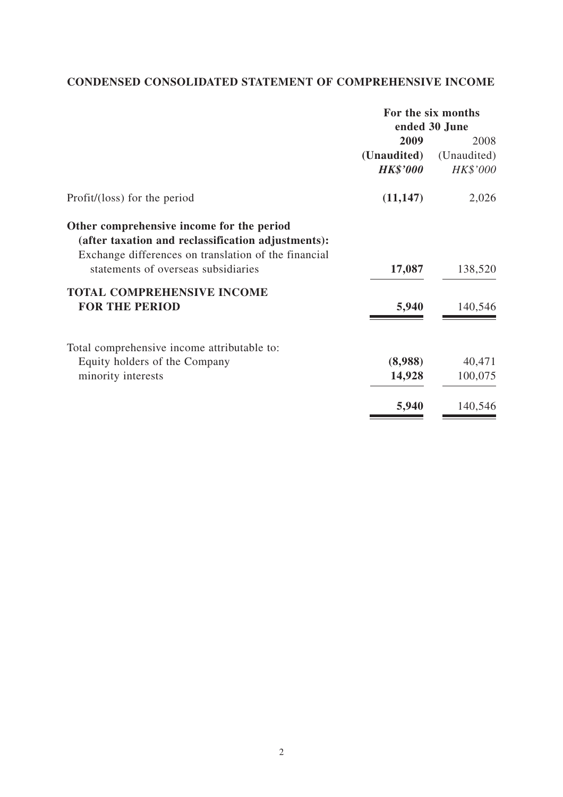# **CONDENSED CONSOLIDATED STATEMENT OF COMPREHENSIVE INCOME**

|                                                                                                                                                         | For the six months |               |  |
|---------------------------------------------------------------------------------------------------------------------------------------------------------|--------------------|---------------|--|
|                                                                                                                                                         |                    | ended 30 June |  |
|                                                                                                                                                         | 2009               | 2008          |  |
|                                                                                                                                                         | (Unaudited)        | (Unaudited)   |  |
|                                                                                                                                                         | <b>HK\$'000</b>    | HK\$'000      |  |
| Profit/(loss) for the period                                                                                                                            | (11, 147)          | 2,026         |  |
| Other comprehensive income for the period<br>(after taxation and reclassification adjustments):<br>Exchange differences on translation of the financial |                    |               |  |
| statements of overseas subsidiaries                                                                                                                     | 17,087             | 138,520       |  |
| <b>TOTAL COMPREHENSIVE INCOME</b>                                                                                                                       |                    |               |  |
| <b>FOR THE PERIOD</b>                                                                                                                                   | 5,940              | 140,546       |  |
| Total comprehensive income attributable to:                                                                                                             |                    |               |  |
| Equity holders of the Company                                                                                                                           | (8,988)            | 40,471        |  |
| minority interests                                                                                                                                      | 14,928             | 100,075       |  |
|                                                                                                                                                         | 5,940              | 140,546       |  |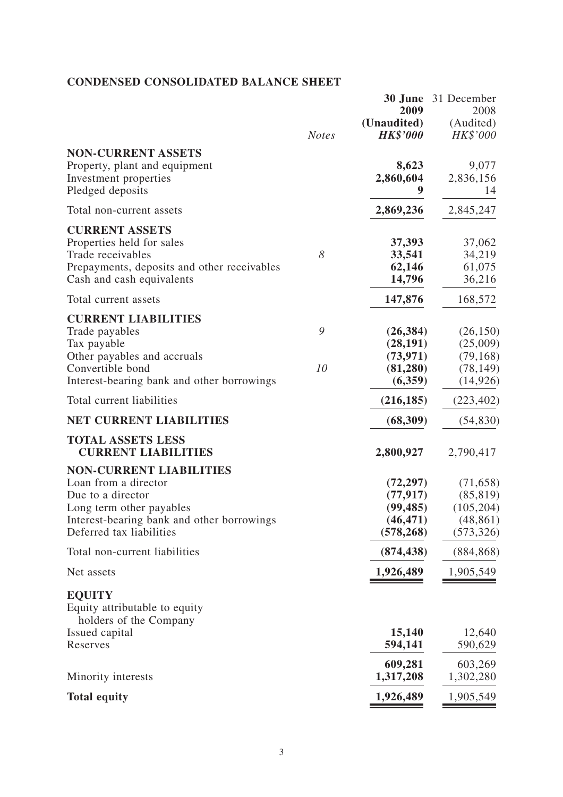# **CONDENSED CONSOLIDATED BALANCE SHEET**

|                                                                                                                                                                                   | <b>Notes</b> | 2009<br>(Unaudited)<br><b>HK\$'000</b>                         | <b>30 June</b> 31 December<br>2008<br>(Audited)<br>HK\$'000     |
|-----------------------------------------------------------------------------------------------------------------------------------------------------------------------------------|--------------|----------------------------------------------------------------|-----------------------------------------------------------------|
| <b>NON-CURRENT ASSETS</b><br>Property, plant and equipment<br>Investment properties<br>Pledged deposits                                                                           |              | 8,623<br>2,860,604                                             | 9,077<br>2,836,156<br>14                                        |
| Total non-current assets                                                                                                                                                          |              | 2,869,236                                                      | 2,845,247                                                       |
| <b>CURRENT ASSETS</b><br>Properties held for sales<br>Trade receivables<br>Prepayments, deposits and other receivables<br>Cash and cash equivalents                               | 8            | 37,393<br>33,541<br>62,146<br>14,796                           | 37,062<br>34,219<br>61,075<br>36,216                            |
| Total current assets                                                                                                                                                              |              | 147,876                                                        | 168,572                                                         |
| <b>CURRENT LIABILITIES</b><br>Trade payables<br>Tax payable<br>Other payables and accruals<br>Convertible bond<br>Interest-bearing bank and other borrowings                      | 9<br>10      | (26, 384)<br>(28, 191)<br>(73, 971)<br>(81,280)<br>(6,359)     | (26, 150)<br>(25,009)<br>(79, 168)<br>(78, 149)<br>(14, 926)    |
| Total current liabilities                                                                                                                                                         |              | (216, 185)                                                     | (223, 402)                                                      |
| <b>NET CURRENT LIABILITIES</b>                                                                                                                                                    |              | (68, 309)                                                      | (54, 830)                                                       |
| <b>TOTAL ASSETS LESS</b><br><b>CURRENT LIABILITIES</b>                                                                                                                            |              | 2,800,927                                                      | 2,790,417                                                       |
| <b>NON-CURRENT LIABILITIES</b><br>Loan from a director<br>Due to a director<br>Long term other payables<br>Interest-bearing bank and other borrowings<br>Deferred tax liabilities |              | (72, 297)<br>(77, 917)<br>(99, 485)<br>(46, 471)<br>(578, 268) | (71, 658)<br>(85, 819)<br>(105, 204)<br>(48, 861)<br>(573, 326) |
| Total non-current liabilities                                                                                                                                                     |              | (874, 438)                                                     | (884, 868)                                                      |
| Net assets                                                                                                                                                                        |              | 1,926,489                                                      | 1,905,549                                                       |
| <b>EQUITY</b><br>Equity attributable to equity<br>holders of the Company                                                                                                          |              |                                                                |                                                                 |
| Issued capital<br>Reserves                                                                                                                                                        |              | 15,140<br>594,141                                              | 12,640<br>590,629                                               |
| Minority interests                                                                                                                                                                |              | 609,281<br>1,317,208                                           | 603,269<br>1,302,280                                            |
| <b>Total equity</b>                                                                                                                                                               |              | 1,926,489                                                      | 1,905,549                                                       |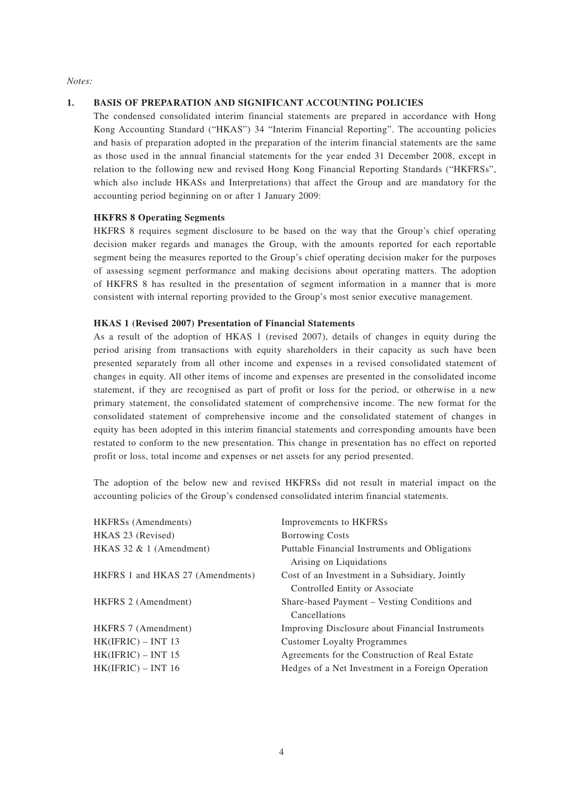*Notes:*

#### **1. BASIS OF PREPARATION AND SIGNIFICANT ACCOUNTING POLICIES**

The condensed consolidated interim financial statements are prepared in accordance with Hong Kong Accounting Standard ("HKAS") 34 "Interim Financial Reporting". The accounting policies and basis of preparation adopted in the preparation of the interim financial statements are the same as those used in the annual financial statements for the year ended 31 December 2008, except in relation to the following new and revised Hong Kong Financial Reporting Standards ("HKFRSs", which also include HKASs and Interpretations) that affect the Group and are mandatory for the accounting period beginning on or after 1 January 2009:

#### **HKFRS 8 Operating Segments**

HKFRS 8 requires segment disclosure to be based on the way that the Group's chief operating decision maker regards and manages the Group, with the amounts reported for each reportable segment being the measures reported to the Group's chief operating decision maker for the purposes of assessing segment performance and making decisions about operating matters. The adoption of HKFRS 8 has resulted in the presentation of segment information in a manner that is more consistent with internal reporting provided to the Group's most senior executive management.

#### **HKAS 1 (Revised 2007) Presentation of Financial Statements**

As a result of the adoption of HKAS 1 (revised 2007), details of changes in equity during the period arising from transactions with equity shareholders in their capacity as such have been presented separately from all other income and expenses in a revised consolidated statement of changes in equity. All other items of income and expenses are presented in the consolidated income statement, if they are recognised as part of profit or loss for the period, or otherwise in a new primary statement, the consolidated statement of comprehensive income. The new format for the consolidated statement of comprehensive income and the consolidated statement of changes in equity has been adopted in this interim financial statements and corresponding amounts have been restated to conform to the new presentation. This change in presentation has no effect on reported profit or loss, total income and expenses or net assets for any period presented.

The adoption of the below new and revised HKFRSs did not result in material impact on the accounting policies of the Group's condensed consolidated interim financial statements.

| <b>HKFRSs</b> (Amendments)       | Improvements to HKFRSs                                                           |
|----------------------------------|----------------------------------------------------------------------------------|
| HKAS 23 (Revised)                | <b>Borrowing Costs</b>                                                           |
| $HKAS$ 32 & 1 (Amendment)        | Puttable Financial Instruments and Obligations<br>Arising on Liquidations        |
| HKFRS 1 and HKAS 27 (Amendments) | Cost of an Investment in a Subsidiary, Jointly<br>Controlled Entity or Associate |
| <b>HKFRS 2 (Amendment)</b>       | Share-based Payment – Vesting Conditions and<br>Cancellations                    |
| <b>HKFRS</b> 7 (Amendment)       | Improving Disclosure about Financial Instruments                                 |
| $HK(IFRIC) - INT 13$             | <b>Customer Loyalty Programmes</b>                                               |
| $HK(IFRIC) - INT 15$             | Agreements for the Construction of Real Estate                                   |
| $HK(IFRIC) - INT 16$             | Hedges of a Net Investment in a Foreign Operation                                |
|                                  |                                                                                  |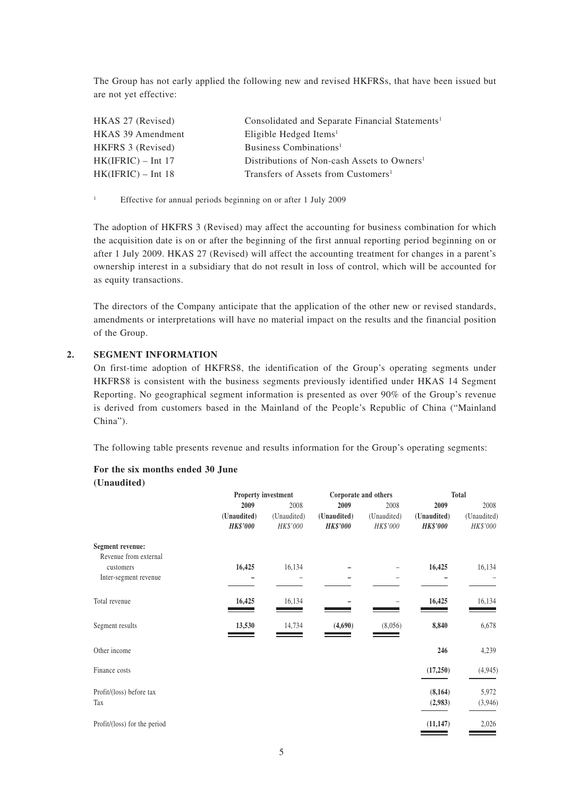The Group has not early applied the following new and revised HKFRSs, that have been issued but are not yet effective:

| HKAS 27 (Revised)    | Consolidated and Separate Financial Statements <sup>1</sup> |
|----------------------|-------------------------------------------------------------|
| HKAS 39 Amendment    | Eligible Hedged Items <sup>1</sup>                          |
| HKFRS 3 (Revised)    | Business Combinations <sup>1</sup>                          |
| $HK(IFRIC) - Int 17$ | Distributions of Non-cash Assets to Owners <sup>1</sup>     |
| $HK(IFRIC) - Int 18$ | Transfers of Assets from Customers <sup>1</sup>             |

1 Effective for annual periods beginning on or after 1 July 2009

The adoption of HKFRS 3 (Revised) may affect the accounting for business combination for which the acquisition date is on or after the beginning of the first annual reporting period beginning on or after 1 July 2009. HKAS 27 (Revised) will affect the accounting treatment for changes in a parent's ownership interest in a subsidiary that do not result in loss of control, which will be accounted for as equity transactions.

The directors of the Company anticipate that the application of the other new or revised standards, amendments or interpretations will have no material impact on the results and the financial position of the Group.

#### **2. SEGMENT INFORMATION**

On first-time adoption of HKFRS8, the identification of the Group's operating segments under HKFRS8 is consistent with the business segments previously identified under HKAS 14 Segment Reporting. No geographical segment information is presented as over 90% of the Group's revenue is derived from customers based in the Mainland of the People's Republic of China ("Mainland China").

The following table presents revenue and results information for the Group's operating segments:

#### **For the six months ended 30 June (Unaudited)**

|                              | Property investment |             |                 | Corporate and others | <b>Total</b>    |             |
|------------------------------|---------------------|-------------|-----------------|----------------------|-----------------|-------------|
|                              | 2009                | 2008        | 2009            | 2008                 | 2009            | 2008        |
|                              | (Unaudited)         | (Unaudited) | (Unaudited)     | (Unaudited)          | (Unaudited)     | (Unaudited) |
|                              | <b>HK\$'000</b>     | HK\$'000    | <b>HK\$'000</b> | HK\$'000             | <b>HK\$'000</b> | HK\$'000    |
| Segment revenue:             |                     |             |                 |                      |                 |             |
| Revenue from external        |                     |             |                 |                      |                 |             |
| customers                    | 16,425              | 16,134      |                 |                      | 16,425          | 16,134      |
| Inter-segment revenue        |                     |             |                 |                      |                 |             |
| Total revenue                | 16,425              | 16,134      |                 |                      | 16,425          | 16,134      |
| Segment results              | 13,530              | 14,734      | (4,690)         | (8,056)              | 8,840           | 6,678       |
| Other income                 |                     |             |                 |                      | 246             | 4,239       |
| Finance costs                |                     |             |                 |                      | (17,250)        | (4,945)     |
| Profit/(loss) before tax     |                     |             |                 |                      | (8, 164)        | 5,972       |
| Tax                          |                     |             |                 |                      | (2,983)         | (3,946)     |
| Profit/(loss) for the period |                     |             |                 |                      | (11, 147)       | 2,026       |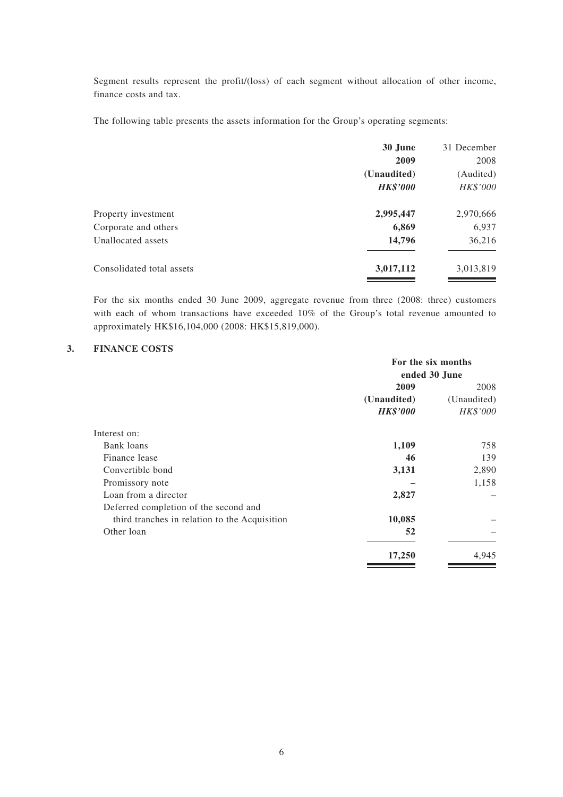Segment results represent the profit/(loss) of each segment without allocation of other income, finance costs and tax.

The following table presents the assets information for the Group's operating segments:

|                           | 30 June         | 31 December |
|---------------------------|-----------------|-------------|
|                           | 2009            | 2008        |
|                           | (Unaudited)     | (Audited)   |
|                           | <b>HK\$'000</b> | HK\$'000    |
| Property investment       | 2,995,447       | 2,970,666   |
| Corporate and others      | 6,869           | 6,937       |
| Unallocated assets        | 14,796          | 36,216      |
| Consolidated total assets | 3,017,112       | 3,013,819   |
|                           |                 |             |

For the six months ended 30 June 2009, aggregate revenue from three (2008: three) customers with each of whom transactions have exceeded 10% of the Group's total revenue amounted to approximately HK\$16,104,000 (2008: HK\$15,819,000).

#### **3. FINANCE COSTS**

| ended 30 June |  |
|---------------|--|
|               |  |
| 2008          |  |
| (Unaudited)   |  |
| HK\$'000      |  |
|               |  |
| 758           |  |
| 139           |  |
| 2,890         |  |
| 1,158         |  |
|               |  |
|               |  |
|               |  |
|               |  |
| 4,945         |  |
|               |  |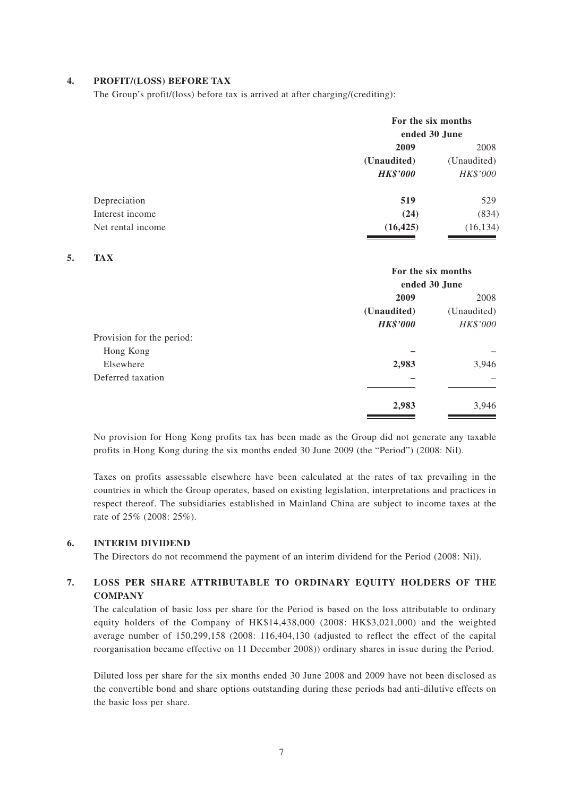#### **4. PROFIT/(LOSS) BEFORE TAX**

The Group's profit/(loss) before tax is arrived at after charging/(crediting):

|                   | For the six months<br>ended 30 June |             |  |
|-------------------|-------------------------------------|-------------|--|
|                   | 2009                                | 2008        |  |
|                   | (Unaudited)                         | (Unaudited) |  |
|                   | <b>HK\$'000</b>                     | HK\$'000    |  |
| Depreciation      | 519                                 | 529         |  |
| Interest income   | (24)                                | (834)       |  |
| Net rental income | (16, 425)                           | (16, 134)   |  |

#### **5. TAX**

|                           | For the six months<br>ended 30 June |             |  |
|---------------------------|-------------------------------------|-------------|--|
|                           |                                     |             |  |
|                           | 2009                                | 2008        |  |
|                           | (Unaudited)                         | (Unaudited) |  |
|                           | <b>HK\$'000</b>                     | HK\$'000    |  |
| Provision for the period: |                                     |             |  |
| Hong Kong                 |                                     |             |  |
| Elsewhere                 | 2,983                               | 3,946       |  |
| Deferred taxation         |                                     |             |  |
|                           | 2,983                               | 3,946       |  |

No provision for Hong Kong profits tax has been made as the Group did not generate any taxable profits in Hong Kong during the six months ended 30 June 2009 (the "Period") (2008: Nil).

Taxes on profits assessable elsewhere have been calculated at the rates of tax prevailing in the countries in which the Group operates, based on existing legislation, interpretations and practices in respect thereof. The subsidiaries established in Mainland China are subject to income taxes at the rate of 25% (2008: 25%).

#### **6. INTERIM DIVIDEND**

The Directors do not recommend the payment of an interim dividend for the Period (2008: Nil).

#### **7. LOSS PER SHARE ATTRIBUTABLE TO ORDINARY EQUITY HOLDERS OF THE COMPANY**

The calculation of basic loss per share for the Period is based on the loss attributable to ordinary equity holders of the Company of HK\$14,438,000 (2008: HK\$3,021,000) and the weighted average number of 150,299,158 (2008: 116,404,130 (adjusted to reflect the effect of the capital reorganisation became effective on 11 December 2008)) ordinary shares in issue during the Period.

Diluted loss per share for the six months ended 30 June 2008 and 2009 have not been disclosed as the convertible bond and share options outstanding during these periods had anti-dilutive effects on the basic loss per share.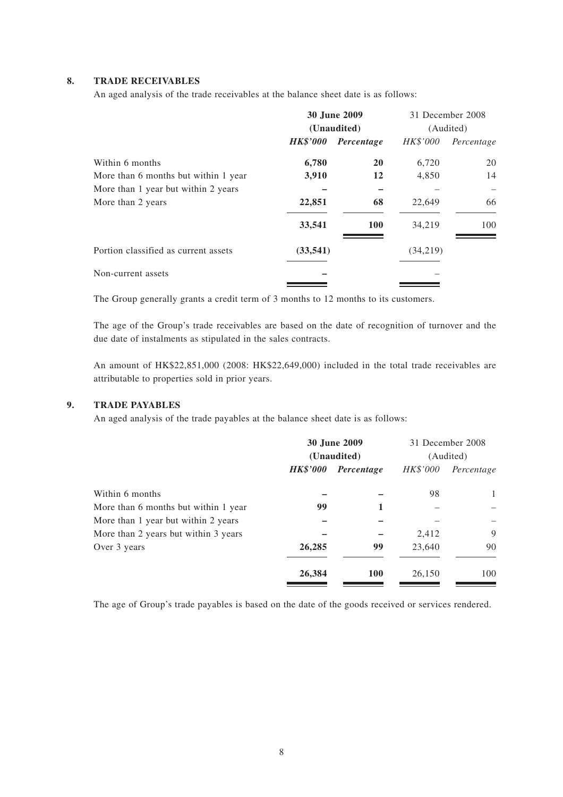#### **8. TRADE RECEIVABLES**

An aged analysis of the trade receivables at the balance sheet date is as follows:

|                                      | 30 June 2009<br>(Unaudited) |            | 31 December 2008 |            |
|--------------------------------------|-----------------------------|------------|------------------|------------|
|                                      |                             |            |                  | (Audited)  |
|                                      | <b>HK\$'000</b>             | Percentage | <i>HK\$'000</i>  | Percentage |
| Within 6 months                      | 6,780                       | <b>20</b>  | 6,720            | 20         |
| More than 6 months but within 1 year | 3,910                       | 12         | 4,850            | 14         |
| More than 1 year but within 2 years  |                             |            |                  |            |
| More than 2 years                    | 22,851                      | 68         | 22,649           | 66         |
|                                      | 33,541                      | <b>100</b> | 34,219           | 100        |
| Portion classified as current assets | (33, 541)                   |            | (34,219)         |            |
| Non-current assets                   |                             |            |                  |            |
|                                      |                             |            |                  |            |

The Group generally grants a credit term of 3 months to 12 months to its customers.

The age of the Group's trade receivables are based on the date of recognition of turnover and the due date of instalments as stipulated in the sales contracts.

An amount of HK\$22,851,000 (2008: HK\$22,649,000) included in the total trade receivables are attributable to properties sold in prior years.

#### **9. TRADE PAYABLES**

An aged analysis of the trade payables at the balance sheet date is as follows:

|                                      | <b>30 June 2009</b><br>(Unaudited) |            |          | 31 December 2008<br>(Audited) |
|--------------------------------------|------------------------------------|------------|----------|-------------------------------|
|                                      | <i><b>HK\$'000</b></i>             | Percentage | HK\$'000 | Percentage                    |
| Within 6 months                      |                                    |            | 98       | 1                             |
| More than 6 months but within 1 year | 99                                 | 1          |          |                               |
| More than 1 year but within 2 years  |                                    |            |          |                               |
| More than 2 years but within 3 years |                                    |            | 2,412    | 9                             |
| Over 3 years                         | 26,285                             | 99         | 23,640   | 90                            |
|                                      | 26,384                             | <b>100</b> | 26,150   | 100                           |

The age of Group's trade payables is based on the date of the goods received or services rendered.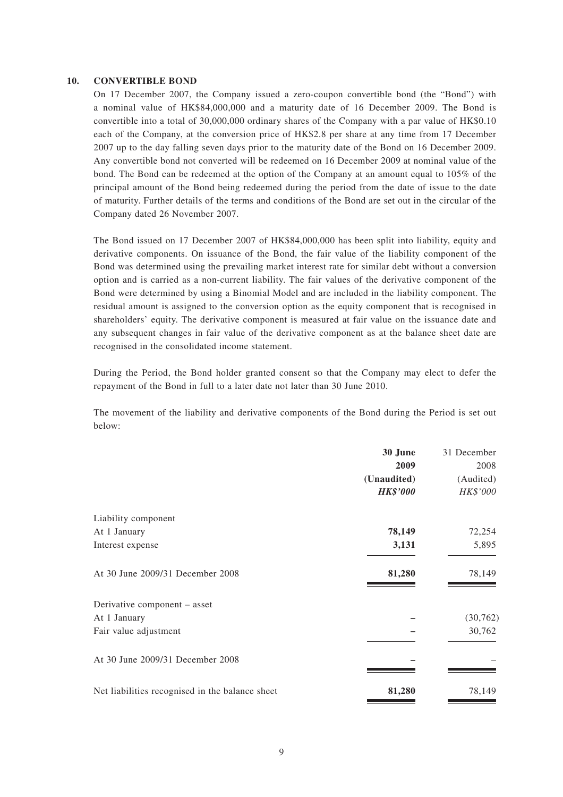#### **10. CONVERTIBLE BOND**

On 17 December 2007, the Company issued a zero-coupon convertible bond (the "Bond") with a nominal value of HK\$84,000,000 and a maturity date of 16 December 2009. The Bond is convertible into a total of 30,000,000 ordinary shares of the Company with a par value of HK\$0.10 each of the Company, at the conversion price of HK\$2.8 per share at any time from 17 December 2007 up to the day falling seven days prior to the maturity date of the Bond on 16 December 2009. Any convertible bond not converted will be redeemed on 16 December 2009 at nominal value of the bond. The Bond can be redeemed at the option of the Company at an amount equal to 105% of the principal amount of the Bond being redeemed during the period from the date of issue to the date of maturity. Further details of the terms and conditions of the Bond are set out in the circular of the Company dated 26 November 2007.

The Bond issued on 17 December 2007 of HK\$84,000,000 has been split into liability, equity and derivative components. On issuance of the Bond, the fair value of the liability component of the Bond was determined using the prevailing market interest rate for similar debt without a conversion option and is carried as a non-current liability. The fair values of the derivative component of the Bond were determined by using a Binomial Model and are included in the liability component. The residual amount is assigned to the conversion option as the equity component that is recognised in shareholders' equity. The derivative component is measured at fair value on the issuance date and any subsequent changes in fair value of the derivative component as at the balance sheet date are recognised in the consolidated income statement.

During the Period, the Bond holder granted consent so that the Company may elect to defer the repayment of the Bond in full to a later date not later than 30 June 2010.

The movement of the liability and derivative components of the Bond during the Period is set out below:

|                                                 | 30 June         | 31 December |
|-------------------------------------------------|-----------------|-------------|
|                                                 | 2009            | 2008        |
|                                                 | (Unaudited)     | (Audited)   |
|                                                 | <b>HK\$'000</b> | HK\$'000    |
| Liability component                             |                 |             |
| At 1 January                                    | 78,149          | 72,254      |
| Interest expense                                | 3,131           | 5,895       |
| At 30 June 2009/31 December 2008                | 81,280          | 78,149      |
| Derivative component - asset                    |                 |             |
| At 1 January                                    |                 | (30, 762)   |
| Fair value adjustment                           |                 | 30,762      |
| At 30 June 2009/31 December 2008                |                 |             |
| Net liabilities recognised in the balance sheet | 81,280          | 78,149      |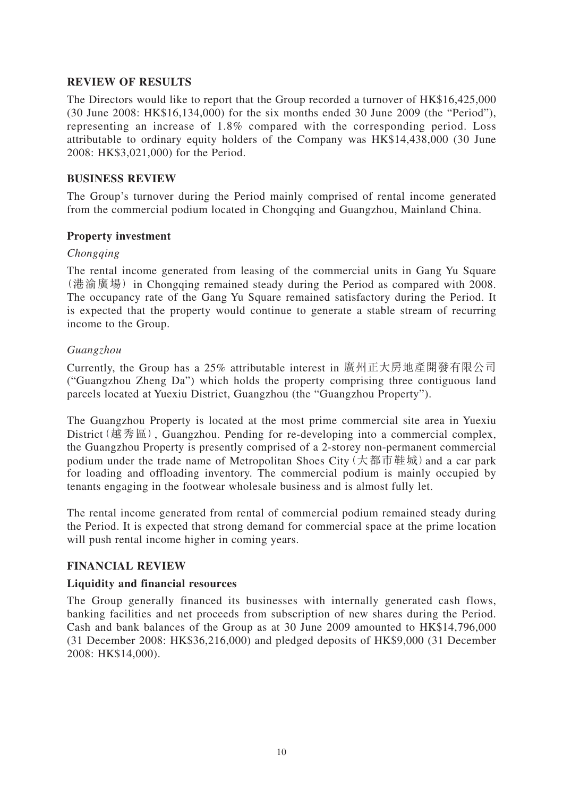### **REVIEW OF RESULTS**

The Directors would like to report that the Group recorded a turnover of HK\$16,425,000 (30 June 2008: HK\$16,134,000) for the six months ended 30 June 2009 (the "Period"), representing an increase of 1.8% compared with the corresponding period. Loss attributable to ordinary equity holders of the Company was HK\$14,438,000 (30 June 2008: HK\$3,021,000) for the Period.

#### **BUSINESS REVIEW**

The Group's turnover during the Period mainly comprised of rental income generated from the commercial podium located in Chongqing and Guangzhou, Mainland China.

### **Property investment**

#### *Chongqing*

The rental income generated from leasing of the commercial units in Gang Yu Square (港渝廣場) in Chongqing remained steady during the Period as compared with 2008. The occupancy rate of the Gang Yu Square remained satisfactory during the Period. It is expected that the property would continue to generate a stable stream of recurring income to the Group.

### *Guangzhou*

Currently, the Group has a 25% attributable interest in 廣州正大房地產開發有限公司 ("Guangzhou Zheng Da") which holds the property comprising three contiguous land parcels located at Yuexiu District, Guangzhou (the "Guangzhou Property").

The Guangzhou Property is located at the most prime commercial site area in Yuexiu District(越秀區), Guangzhou. Pending for re-developing into a commercial complex, the Guangzhou Property is presently comprised of a 2-storey non-permanent commercial podium under the trade name of Metropolitan Shoes City (大都市鞋城) and a car park for loading and offloading inventory. The commercial podium is mainly occupied by tenants engaging in the footwear wholesale business and is almost fully let.

The rental income generated from rental of commercial podium remained steady during the Period. It is expected that strong demand for commercial space at the prime location will push rental income higher in coming years.

### **FINANCIAL REVIEW**

#### **Liquidity and financial resources**

The Group generally financed its businesses with internally generated cash flows, banking facilities and net proceeds from subscription of new shares during the Period. Cash and bank balances of the Group as at 30 June 2009 amounted to HK\$14,796,000 (31 December 2008: HK\$36,216,000) and pledged deposits of HK\$9,000 (31 December 2008: HK\$14,000).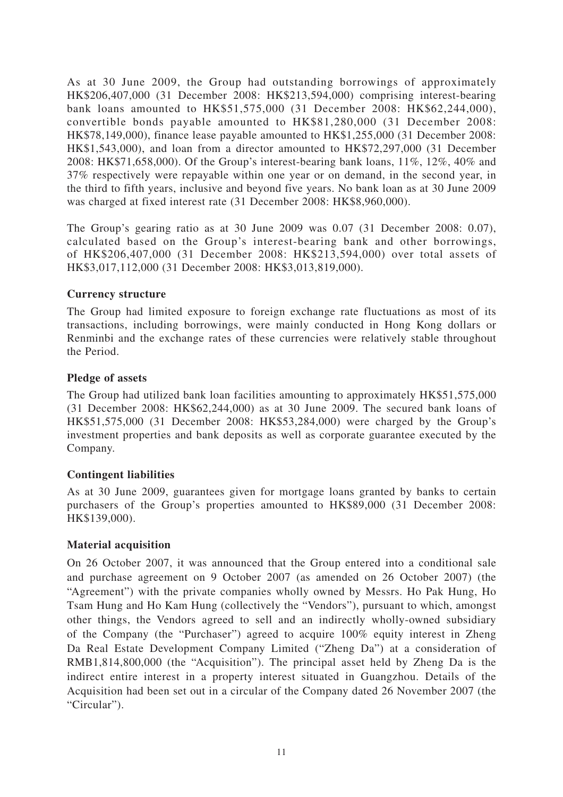As at 30 June 2009, the Group had outstanding borrowings of approximately HK\$206,407,000 (31 December 2008: HK\$213,594,000) comprising interest-bearing bank loans amounted to HK\$51,575,000 (31 December 2008: HK\$62,244,000), convertible bonds payable amounted to HK\$81,280,000 (31 December 2008: HK\$78,149,000), finance lease payable amounted to HK\$1,255,000 (31 December 2008: HK\$1,543,000), and loan from a director amounted to HK\$72,297,000 (31 December 2008: HK\$71,658,000). Of the Group's interest-bearing bank loans, 11%, 12%, 40% and 37% respectively were repayable within one year or on demand, in the second year, in the third to fifth years, inclusive and beyond five years. No bank loan as at 30 June 2009 was charged at fixed interest rate (31 December 2008: HK\$8,960,000).

The Group's gearing ratio as at 30 June 2009 was 0.07 (31 December 2008: 0.07), calculated based on the Group's interest-bearing bank and other borrowings, of HK\$206,407,000 (31 December 2008: HK\$213,594,000) over total assets of HK\$3,017,112,000 (31 December 2008: HK\$3,013,819,000).

### **Currency structure**

The Group had limited exposure to foreign exchange rate fluctuations as most of its transactions, including borrowings, were mainly conducted in Hong Kong dollars or Renminbi and the exchange rates of these currencies were relatively stable throughout the Period.

### **Pledge of assets**

The Group had utilized bank loan facilities amounting to approximately HK\$51,575,000 (31 December 2008: HK\$62,244,000) as at 30 June 2009. The secured bank loans of HK\$51,575,000 (31 December 2008: HK\$53,284,000) were charged by the Group's investment properties and bank deposits as well as corporate guarantee executed by the Company.

### **Contingent liabilities**

As at 30 June 2009, guarantees given for mortgage loans granted by banks to certain purchasers of the Group's properties amounted to HK\$89,000 (31 December 2008: HK\$139,000).

### **Material acquisition**

On 26 October 2007, it was announced that the Group entered into a conditional sale and purchase agreement on 9 October 2007 (as amended on 26 October 2007) (the "Agreement") with the private companies wholly owned by Messrs. Ho Pak Hung, Ho Tsam Hung and Ho Kam Hung (collectively the "Vendors"), pursuant to which, amongst other things, the Vendors agreed to sell and an indirectly wholly-owned subsidiary of the Company (the "Purchaser") agreed to acquire 100% equity interest in Zheng Da Real Estate Development Company Limited ("Zheng Da") at a consideration of RMB1,814,800,000 (the "Acquisition"). The principal asset held by Zheng Da is the indirect entire interest in a property interest situated in Guangzhou. Details of the Acquisition had been set out in a circular of the Company dated 26 November 2007 (the "Circular").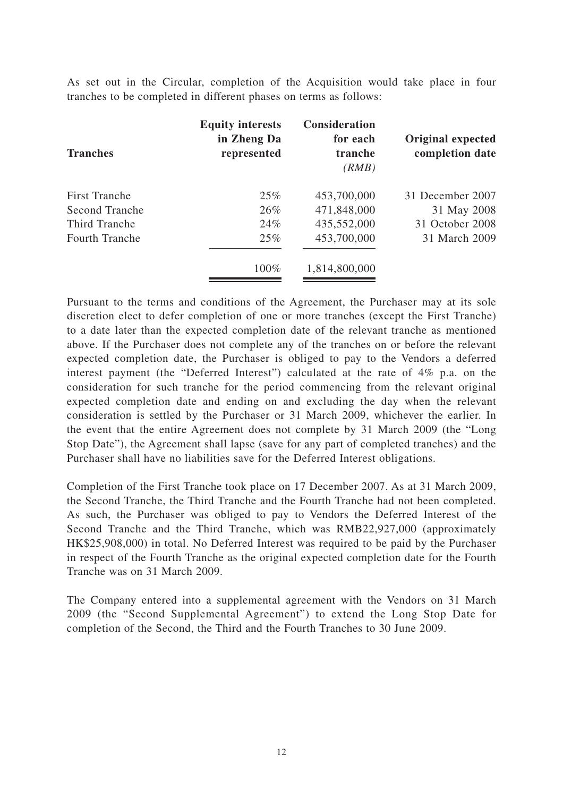As set out in the Circular, completion of the Acquisition would take place in four tranches to be completed in different phases on terms as follows:

| <b>Tranches</b>       | <b>Equity interests</b><br>in Zheng Da<br>represented | <b>Consideration</b><br>for each<br>tranche<br>(RMB) | Original expected<br>completion date |
|-----------------------|-------------------------------------------------------|------------------------------------------------------|--------------------------------------|
| <b>First Tranche</b>  | 25%                                                   | 453,700,000                                          | 31 December 2007                     |
| Second Tranche        | 26%                                                   | 471,848,000                                          | 31 May 2008                          |
| Third Tranche         | 24%                                                   | 435,552,000                                          | 31 October 2008                      |
| <b>Fourth Tranche</b> | 25%                                                   | 453,700,000                                          | 31 March 2009                        |
|                       | 100%                                                  | 1,814,800,000                                        |                                      |

Pursuant to the terms and conditions of the Agreement, the Purchaser may at its sole discretion elect to defer completion of one or more tranches (except the First Tranche) to a date later than the expected completion date of the relevant tranche as mentioned above. If the Purchaser does not complete any of the tranches on or before the relevant expected completion date, the Purchaser is obliged to pay to the Vendors a deferred interest payment (the "Deferred Interest") calculated at the rate of 4% p.a. on the consideration for such tranche for the period commencing from the relevant original expected completion date and ending on and excluding the day when the relevant consideration is settled by the Purchaser or 31 March 2009, whichever the earlier. In the event that the entire Agreement does not complete by 31 March 2009 (the "Long Stop Date"), the Agreement shall lapse (save for any part of completed tranches) and the Purchaser shall have no liabilities save for the Deferred Interest obligations.

Completion of the First Tranche took place on 17 December 2007. As at 31 March 2009, the Second Tranche, the Third Tranche and the Fourth Tranche had not been completed. As such, the Purchaser was obliged to pay to Vendors the Deferred Interest of the Second Tranche and the Third Tranche, which was RMB22,927,000 (approximately HK\$25,908,000) in total. No Deferred Interest was required to be paid by the Purchaser in respect of the Fourth Tranche as the original expected completion date for the Fourth Tranche was on 31 March 2009.

The Company entered into a supplemental agreement with the Vendors on 31 March 2009 (the "Second Supplemental Agreement") to extend the Long Stop Date for completion of the Second, the Third and the Fourth Tranches to 30 June 2009.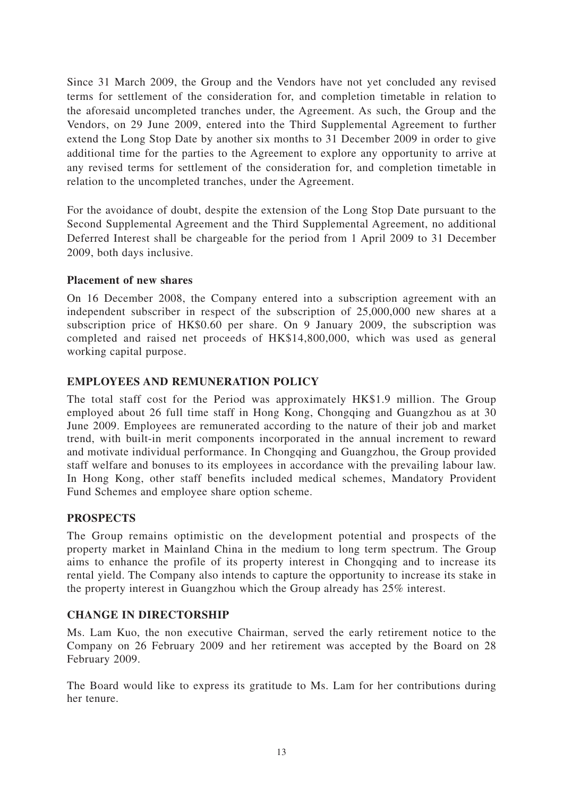Since 31 March 2009, the Group and the Vendors have not yet concluded any revised terms for settlement of the consideration for, and completion timetable in relation to the aforesaid uncompleted tranches under, the Agreement. As such, the Group and the Vendors, on 29 June 2009, entered into the Third Supplemental Agreement to further extend the Long Stop Date by another six months to 31 December 2009 in order to give additional time for the parties to the Agreement to explore any opportunity to arrive at any revised terms for settlement of the consideration for, and completion timetable in relation to the uncompleted tranches, under the Agreement.

For the avoidance of doubt, despite the extension of the Long Stop Date pursuant to the Second Supplemental Agreement and the Third Supplemental Agreement, no additional Deferred Interest shall be chargeable for the period from 1 April 2009 to 31 December 2009, both days inclusive.

### **Placement of new shares**

On 16 December 2008, the Company entered into a subscription agreement with an independent subscriber in respect of the subscription of 25,000,000 new shares at a subscription price of HK\$0.60 per share. On 9 January 2009, the subscription was completed and raised net proceeds of HK\$14,800,000, which was used as general working capital purpose.

### **EMPLOYEES AND REMUNERATION POLICY**

The total staff cost for the Period was approximately HK\$1.9 million. The Group employed about 26 full time staff in Hong Kong, Chongqing and Guangzhou as at 30 June 2009. Employees are remunerated according to the nature of their job and market trend, with built-in merit components incorporated in the annual increment to reward and motivate individual performance. In Chongqing and Guangzhou, the Group provided staff welfare and bonuses to its employees in accordance with the prevailing labour law. In Hong Kong, other staff benefits included medical schemes, Mandatory Provident Fund Schemes and employee share option scheme.

#### **PROSPECTS**

The Group remains optimistic on the development potential and prospects of the property market in Mainland China in the medium to long term spectrum. The Group aims to enhance the profile of its property interest in Chongqing and to increase its rental yield. The Company also intends to capture the opportunity to increase its stake in the property interest in Guangzhou which the Group already has 25% interest.

### **CHANGE IN DIRECTORSHIP**

Ms. Lam Kuo, the non executive Chairman, served the early retirement notice to the Company on 26 February 2009 and her retirement was accepted by the Board on 28 February 2009.

The Board would like to express its gratitude to Ms. Lam for her contributions during her tenure.